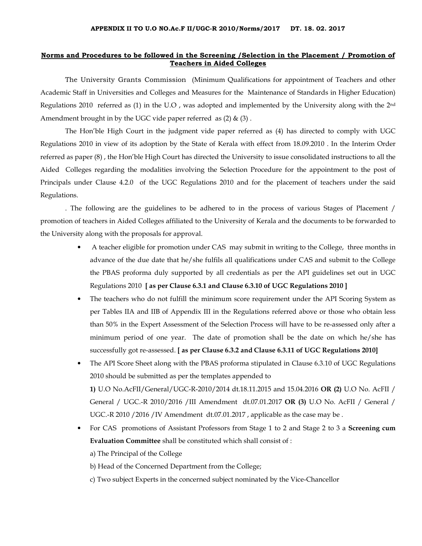## Norms and Procedures to be followed in the Screening /Selection in the Placement / Promotion of Teachers in Aided Colleges

The University Grants Commission (Minimum Qualifications for appointment of Teachers and other Academic Staff in Universities and Colleges and Measures for the Maintenance of Standards in Higher Education) Regulations 2010 referred as (1) in the U.O , was adopted and implemented by the University along with the 2nd Amendment brought in by the UGC vide paper referred as  $(2)$  &  $(3)$ .

 The Hon'ble High Court in the judgment vide paper referred as (4) has directed to comply with UGC Regulations 2010 in view of its adoption by the State of Kerala with effect from 18.09.2010 . In the Interim Order referred as paper (8) , the Hon'ble High Court has directed the University to issue consolidated instructions to all the Aided Colleges regarding the modalities involving the Selection Procedure for the appointment to the post of Principals under Clause 4.2.0 of the UGC Regulations 2010 and for the placement of teachers under the said Regulations.

. The following are the guidelines to be adhered to in the process of various Stages of Placement / promotion of teachers in Aided Colleges affiliated to the University of Kerala and the documents to be forwarded to the University along with the proposals for approval.

- A teacher eligible for promotion under CAS may submit in writing to the College, three months in advance of the due date that he/she fulfils all qualifications under CAS and submit to the College the PBAS proforma duly supported by all credentials as per the API guidelines set out in UGC Regulations 2010 [ as per Clause 6.3.1 and Clause 6.3.10 of UGC Regulations 2010 ]
- The teachers who do not fulfill the minimum score requirement under the API Scoring System as per Tables IIA and IIB of Appendix III in the Regulations referred above or those who obtain less than 50% in the Expert Assessment of the Selection Process will have to be re-assessed only after a minimum period of one year. The date of promotion shall be the date on which he/she has successfully got re-assessed. [ as per Clause 6.3.2 and Clause 6.3.11 of UGC Regulations 2010]
- The API Score Sheet along with the PBAS proforma stipulated in Clause 6.3.10 of UGC Regulations 2010 should be submitted as per the templates appended to 1) U.O No.AcFII/General/UGC-R-2010/2014 dt.18.11.2015 and 15.04.2016 OR (2) U.O No. AcFII / General / UGC.-R 2010/2016 /III Amendment dt.07.01.2017 OR (3) U.O No. AcFII / General / UGC.-R 2010 /2016 /IV Amendment dt.07.01.2017 , applicable as the case may be .
- For CAS promotions of Assistant Professors from Stage 1 to 2 and Stage 2 to 3 a Screening cum Evaluation Committee shall be constituted which shall consist of :

a) The Principal of the College

b) Head of the Concerned Department from the College;

c) Two subject Experts in the concerned subject nominated by the Vice-Chancellor